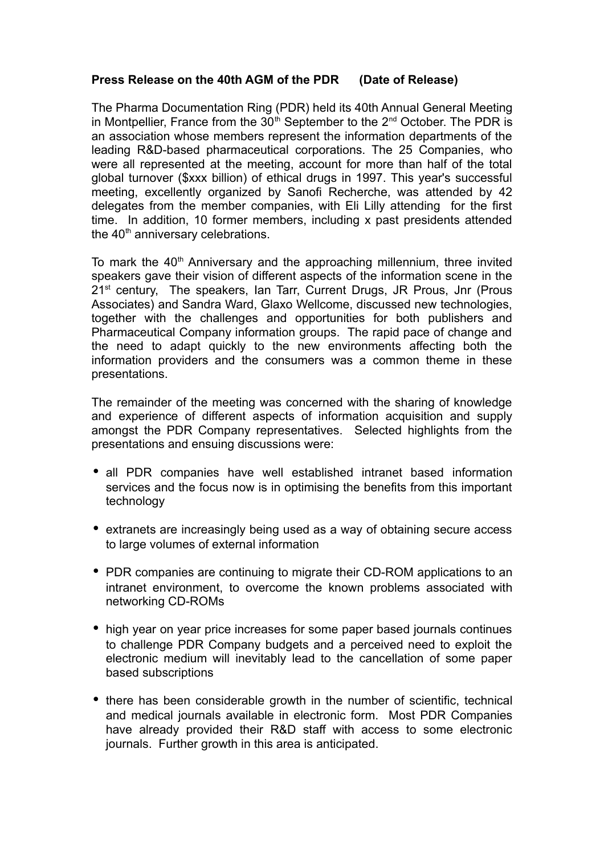## **Press Release on the 40th AGM of the PDR (Date of Release)**

The Pharma Documentation Ring (PDR) held its 40th Annual General Meeting in Montpellier, France from the  $30<sup>th</sup>$  September to the  $2<sup>nd</sup>$  October. The PDR is an association whose members represent the information departments of the leading R&D-based pharmaceutical corporations. The 25 Companies, who were all represented at the meeting, account for more than half of the total global turnover (\$xxx billion) of ethical drugs in 1997. This year's successful meeting, excellently organized by Sanofi Recherche, was attended by 42 delegates from the member companies, with Eli Lilly attending for the first time. In addition, 10 former members, including x past presidents attended the 40<sup>th</sup> anniversary celebrations.

To mark the  $40<sup>th</sup>$  Anniversary and the approaching millennium, three invited speakers gave their vision of different aspects of the information scene in the 21<sup>st</sup> century, The speakers, Ian Tarr, Current Drugs, JR Prous, Jnr (Prous Associates) and Sandra Ward, Glaxo Wellcome, discussed new technologies, together with the challenges and opportunities for both publishers and Pharmaceutical Company information groups. The rapid pace of change and the need to adapt quickly to the new environments affecting both the information providers and the consumers was a common theme in these presentations.

The remainder of the meeting was concerned with the sharing of knowledge and experience of different aspects of information acquisition and supply amongst the PDR Company representatives. Selected highlights from the presentations and ensuing discussions were:

- all PDR companies have well established intranet based information services and the focus now is in optimising the benefits from this important technology
- extranets are increasingly being used as a way of obtaining secure access to large volumes of external information
- PDR companies are continuing to migrate their CD-ROM applications to an intranet environment, to overcome the known problems associated with networking CD-ROMs
- high year on year price increases for some paper based journals continues to challenge PDR Company budgets and a perceived need to exploit the electronic medium will inevitably lead to the cancellation of some paper based subscriptions
- there has been considerable growth in the number of scientific, technical and medical journals available in electronic form. Most PDR Companies have already provided their R&D staff with access to some electronic journals. Further growth in this area is anticipated.